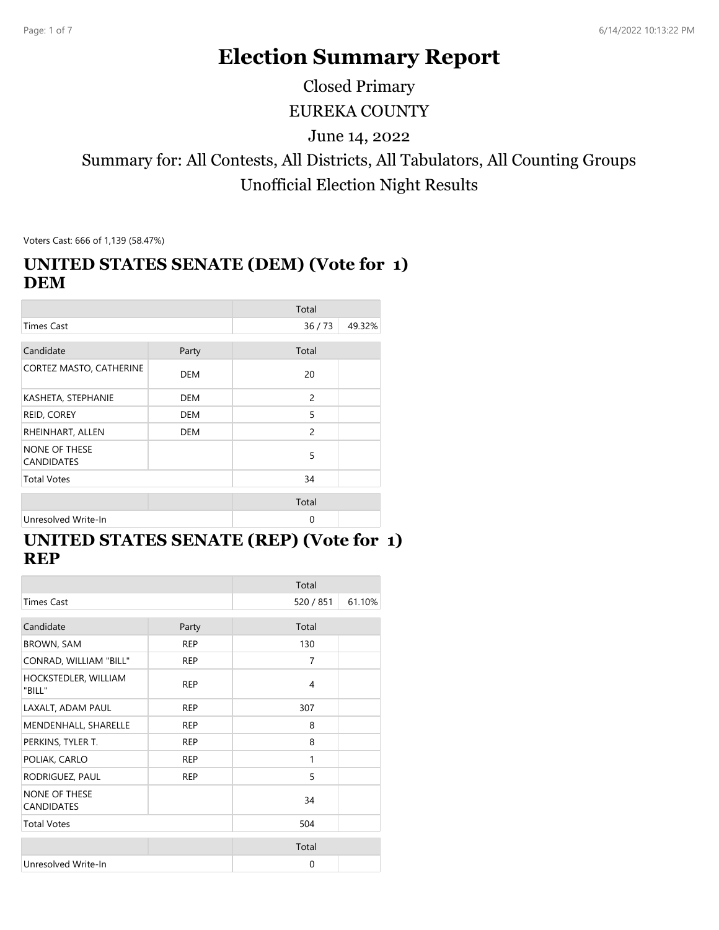# **Election Summary Report**

Closed Primary

EUREKA COUNTY

June 14, 2022

# Summary for: All Contests, All Districts, All Tabulators, All Counting Groups Unofficial Election Night Results

Voters Cast: 666 of 1,139 (58.47%)

#### **UNITED STATES SENATE (DEM) (Vote for 1) DEM**

|                                           |            | Total    |        |
|-------------------------------------------|------------|----------|--------|
| <b>Times Cast</b>                         |            | 36/73    | 49.32% |
| Candidate                                 | Party      | Total    |        |
| CORTEZ MASTO, CATHERINE                   | <b>DEM</b> | 20       |        |
| KASHETA, STEPHANIE                        | <b>DEM</b> | 2        |        |
| REID, COREY                               | <b>DEM</b> | 5        |        |
| RHEINHART, ALLEN                          | DEM        | 2        |        |
| <b>NONE OF THESE</b><br><b>CANDIDATES</b> |            | 5        |        |
| <b>Total Votes</b>                        |            | 34       |        |
|                                           |            | Total    |        |
| Unresolved Write-In                       |            | $\Omega$ |        |

### **UNITED STATES SENATE (REP) (Vote for 1) REP**

|                                           |            | Total          |        |
|-------------------------------------------|------------|----------------|--------|
| <b>Times Cast</b>                         |            | 520 / 851      | 61.10% |
| Candidate                                 | Party      | Total          |        |
| <b>BROWN, SAM</b>                         | <b>REP</b> | 130            |        |
| CONRAD, WILLIAM "BILL"                    | <b>REP</b> | $\overline{7}$ |        |
| HOCKSTEDLER, WILLIAM<br>"BILL"            | <b>REP</b> | 4              |        |
| LAXALT, ADAM PAUL                         | <b>REP</b> | 307            |        |
| MENDENHALL, SHARELLE                      | <b>REP</b> | 8              |        |
| PERKINS, TYLER T.                         | <b>REP</b> | 8              |        |
| POLIAK, CARLO                             | <b>REP</b> | 1              |        |
| RODRIGUEZ, PAUL                           | <b>REP</b> | 5              |        |
| <b>NONE OF THESE</b><br><b>CANDIDATES</b> |            | 34             |        |
| <b>Total Votes</b>                        |            | 504            |        |
|                                           |            | Total          |        |
| Unresolved Write-In                       |            | 0              |        |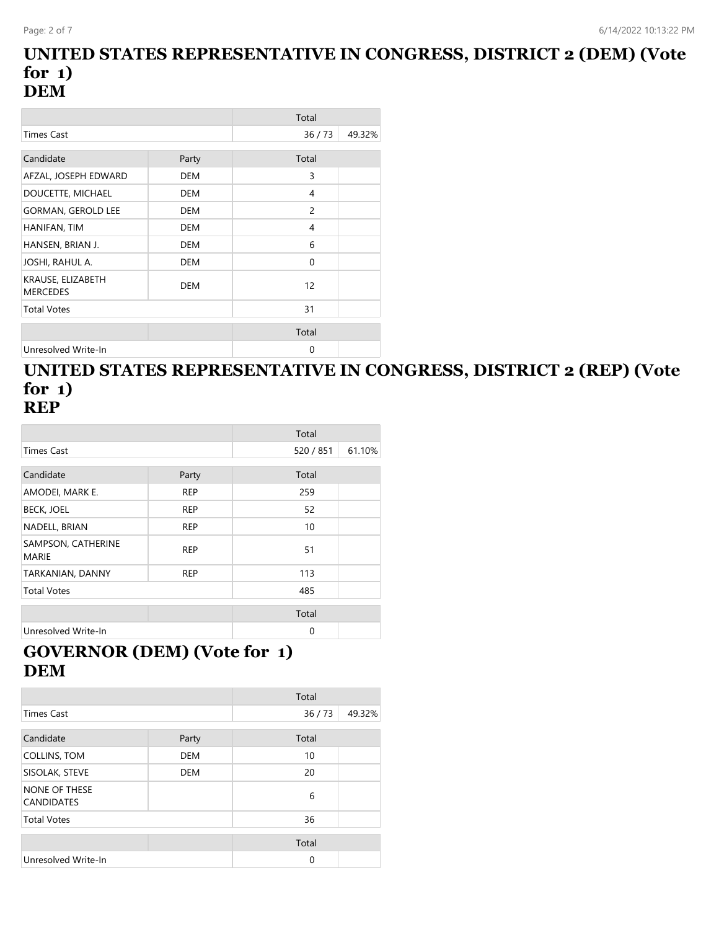#### **UNITED STATES REPRESENTATIVE IN CONGRESS, DISTRICT 2 (DEM) (Vote for 1) DEM**

|                                      |            | Total          |        |
|--------------------------------------|------------|----------------|--------|
| <b>Times Cast</b>                    |            | 36/73          | 49.32% |
| Candidate                            | Party      | Total          |        |
| AFZAL, JOSEPH EDWARD                 | <b>DEM</b> | 3              |        |
| DOUCETTE, MICHAEL                    | <b>DEM</b> | 4              |        |
| <b>GORMAN, GEROLD LEE</b>            | DEM        | $\overline{c}$ |        |
| HANIFAN, TIM                         | DEM        | 4              |        |
| HANSEN, BRIAN J.                     | <b>DEM</b> | 6              |        |
| JOSHI, RAHUL A.                      | <b>DEM</b> | $\Omega$       |        |
| KRAUSE, ELIZABETH<br><b>MERCEDES</b> | <b>DEM</b> | 12             |        |
| <b>Total Votes</b>                   |            | 31             |        |
|                                      |            | Total          |        |
| Unresolved Write-In                  |            | $\Omega$       |        |

#### **UNITED STATES REPRESENTATIVE IN CONGRESS, DISTRICT 2 (REP) (Vote for 1) REP**

|                                    |            | Total     |        |
|------------------------------------|------------|-----------|--------|
| <b>Times Cast</b>                  |            | 520 / 851 | 61.10% |
|                                    |            |           |        |
| Candidate                          | Party      | Total     |        |
| AMODEI, MARK E.                    | <b>REP</b> | 259       |        |
| <b>BECK, JOEL</b>                  | <b>REP</b> | 52        |        |
| NADELL, BRIAN                      | <b>REP</b> | 10        |        |
| SAMPSON, CATHERINE<br><b>MARIE</b> | <b>REP</b> | 51        |        |
| TARKANIAN, DANNY                   | <b>REP</b> | 113       |        |
| <b>Total Votes</b>                 |            | 485       |        |
|                                    |            | Total     |        |
| Unresolved Write-In                |            | $\Omega$  |        |

# **GOVERNOR (DEM) (Vote for 1) DEM**

|                                    |            | Total       |        |
|------------------------------------|------------|-------------|--------|
| <b>Times Cast</b>                  |            | 36/73       | 49.32% |
|                                    |            |             |        |
| Candidate                          | Party      | Total       |        |
| <b>COLLINS, TOM</b>                | <b>DEM</b> | 10          |        |
| SISOLAK, STEVE                     | <b>DEM</b> | 20          |        |
| NONE OF THESE<br><b>CANDIDATES</b> |            | 6           |        |
| <b>Total Votes</b>                 |            | 36          |        |
|                                    |            | Total       |        |
| Unresolved Write-In                |            | $\mathbf 0$ |        |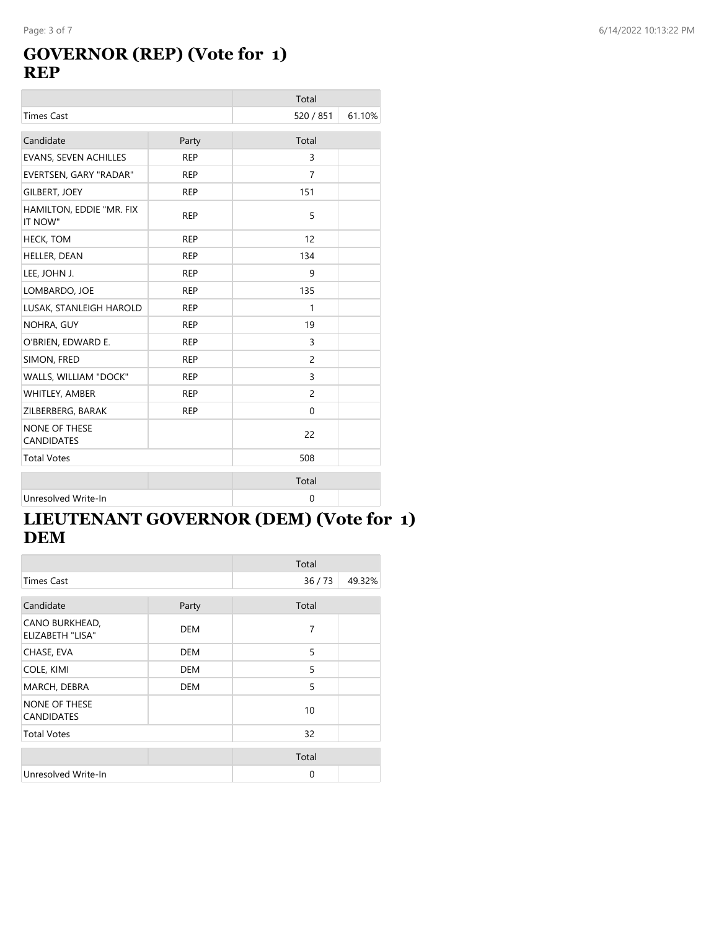### **GOVERNOR (REP) (Vote for 1) REP**

|                                           |            | Total          |        |
|-------------------------------------------|------------|----------------|--------|
| <b>Times Cast</b>                         |            | 520 / 851      | 61.10% |
| Candidate                                 | Party      | Total          |        |
| EVANS, SEVEN ACHILLES                     | <b>REP</b> | 3              |        |
| EVERTSEN, GARY "RADAR"                    | <b>REP</b> | $\overline{7}$ |        |
| <b>GILBERT, JOEY</b>                      | <b>REP</b> | 151            |        |
| HAMILTON, EDDIE "MR. FIX<br>IT NOW"       | <b>REP</b> | 5              |        |
| <b>HECK, TOM</b>                          | <b>REP</b> | 12             |        |
| HELLER, DEAN                              | <b>REP</b> | 134            |        |
| LEE, JOHN J.                              | <b>REP</b> | 9              |        |
| LOMBARDO, JOE                             | <b>REP</b> | 135            |        |
| LUSAK, STANLEIGH HAROLD                   | <b>REP</b> | 1              |        |
| NOHRA, GUY                                | <b>REP</b> | 19             |        |
| O'BRIEN, EDWARD E.                        | <b>REP</b> | 3              |        |
| SIMON, FRED                               | <b>REP</b> | $\overline{c}$ |        |
| WALLS, WILLIAM "DOCK"                     | <b>REP</b> | 3              |        |
| WHITLEY, AMBER                            | <b>REP</b> | $\overline{c}$ |        |
| ZILBERBERG, BARAK                         | <b>REP</b> | $\mathbf{0}$   |        |
| <b>NONE OF THESE</b><br><b>CANDIDATES</b> |            | 22             |        |
| <b>Total Votes</b>                        |            | 508            |        |
|                                           |            | Total          |        |
| Unresolved Write-In                       |            | 0              |        |

# **LIEUTENANT GOVERNOR (DEM) (Vote for 1) DEM**

|                                           |            | Total    |        |
|-------------------------------------------|------------|----------|--------|
| Times Cast                                |            | 36/73    | 49.32% |
| Candidate                                 | Party      | Total    |        |
| CANO BURKHEAD,<br><b>ELIZABETH "LISA"</b> | <b>DEM</b> | 7        |        |
| CHASE, EVA                                | <b>DEM</b> | 5        |        |
| COLE, KIMI                                | <b>DEM</b> | 5        |        |
| MARCH, DEBRA                              | <b>DEM</b> | 5        |        |
| <b>NONE OF THESE</b><br><b>CANDIDATES</b> |            | 10       |        |
| <b>Total Votes</b>                        |            | 32       |        |
|                                           |            | Total    |        |
| Unresolved Write-In                       |            | $\Omega$ |        |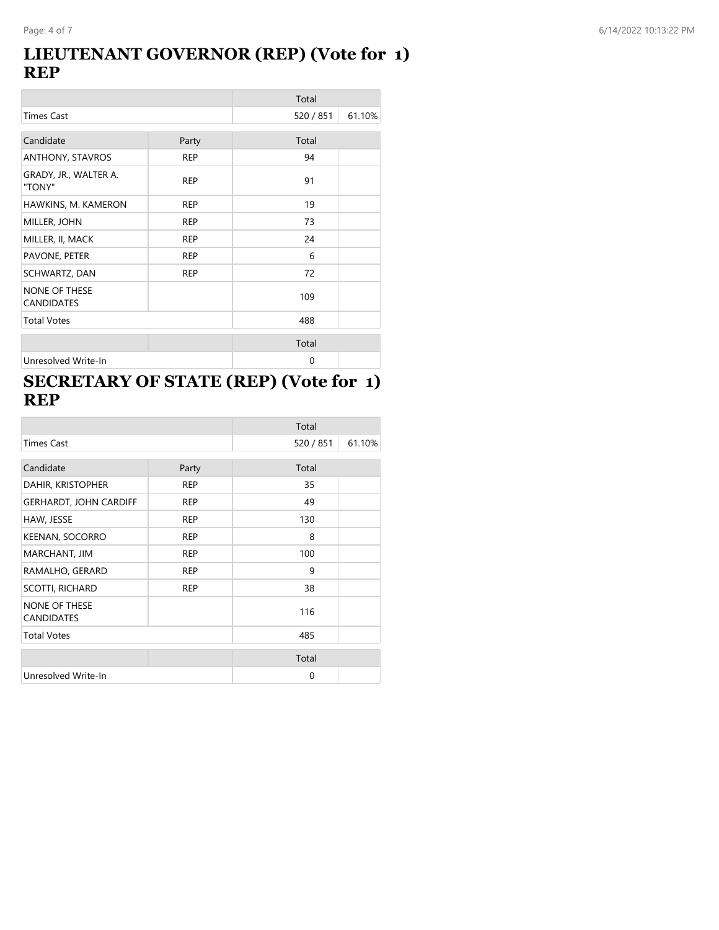### **LIEUTENANT GOVERNOR (REP) (Vote for 1) REP**

|                                           |            | Total     |        |
|-------------------------------------------|------------|-----------|--------|
| <b>Times Cast</b>                         |            | 520 / 851 | 61.10% |
| Candidate                                 | Party      | Total     |        |
| ANTHONY, STAVROS                          | <b>REP</b> | 94        |        |
| GRADY, JR., WALTER A.<br>"TONY"           | <b>REP</b> | 91        |        |
| HAWKINS, M. KAMERON                       | <b>REP</b> | 19        |        |
| MILLER, JOHN                              | <b>REP</b> | 73        |        |
| MILLER, II, MACK                          | <b>REP</b> | 24        |        |
| PAVONE, PETER                             | <b>REP</b> | 6         |        |
| SCHWARTZ, DAN                             | <b>REP</b> | 72        |        |
| <b>NONE OF THESE</b><br><b>CANDIDATES</b> |            | 109       |        |
| <b>Total Votes</b>                        |            | 488       |        |
|                                           |            | Total     |        |
| Unresolved Write-In                       |            | 0         |        |

### **SECRETARY OF STATE (REP) (Vote for 1) REP**

|                                           |            | Total     |        |
|-------------------------------------------|------------|-----------|--------|
| <b>Times Cast</b>                         |            | 520 / 851 | 61.10% |
| Candidate                                 | Party      | Total     |        |
|                                           |            |           |        |
| DAHIR, KRISTOPHER                         | <b>REP</b> | 35        |        |
| <b>GERHARDT, JOHN CARDIFF</b>             | <b>REP</b> | 49        |        |
| HAW, JESSE                                | <b>REP</b> | 130       |        |
| KEENAN, SOCORRO                           | <b>REP</b> | 8         |        |
| MARCHANT, JIM                             | <b>REP</b> | 100       |        |
| RAMALHO, GERARD                           | <b>REP</b> | 9         |        |
| <b>SCOTTI, RICHARD</b>                    | <b>REP</b> | 38        |        |
| <b>NONE OF THESE</b><br><b>CANDIDATES</b> |            | 116       |        |
| <b>Total Votes</b>                        |            | 485       |        |
|                                           |            | Total     |        |
| Unresolved Write-In                       |            | $\Omega$  |        |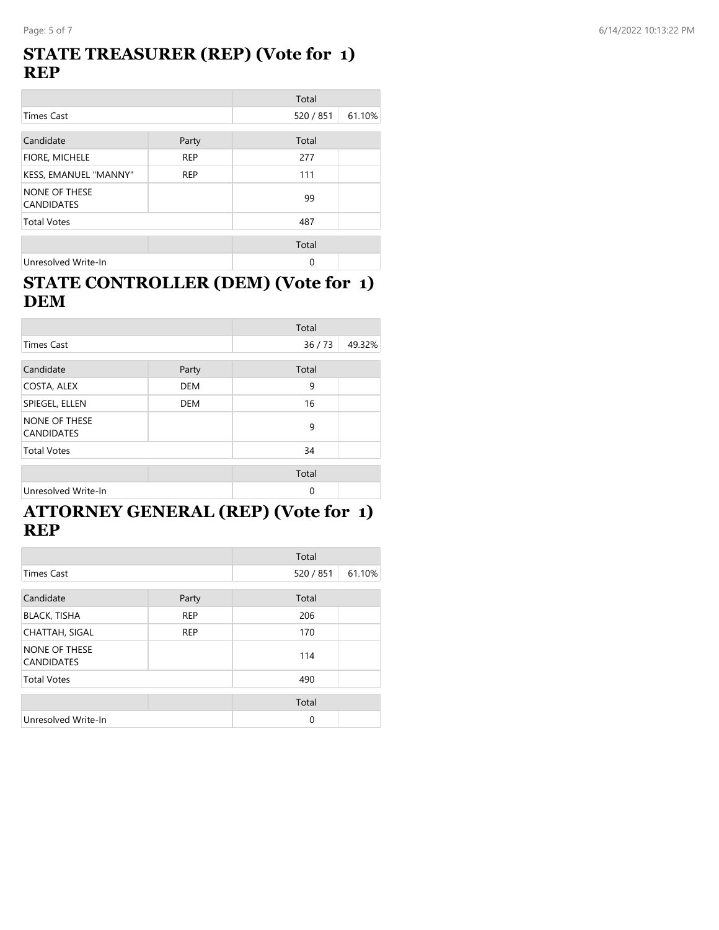### **STATE TREASURER (REP) (Vote for 1) REP**

|                                           |            | Total     |        |
|-------------------------------------------|------------|-----------|--------|
| <b>Times Cast</b>                         |            | 520 / 851 | 61.10% |
| Candidate                                 | Party      | Total     |        |
| FIORE, MICHELE                            | <b>REP</b> | 277       |        |
| KESS, EMANUEL "MANNY"                     | <b>REP</b> | 111       |        |
| <b>NONE OF THESE</b><br><b>CANDIDATES</b> |            | 99        |        |
| <b>Total Votes</b>                        |            | 487       |        |
|                                           |            | Total     |        |
| Unresolved Write-In                       |            | 0         |        |

### **STATE CONTROLLER (DEM) (Vote for 1) DEM**

|                                    |            | Total    |        |
|------------------------------------|------------|----------|--------|
| <b>Times Cast</b>                  |            | 36/73    | 49.32% |
| Candidate                          | Party      | Total    |        |
| COSTA, ALEX                        | <b>DEM</b> | 9        |        |
| SPIEGEL, ELLEN                     | <b>DEM</b> | 16       |        |
| NONE OF THESE<br><b>CANDIDATES</b> |            | 9        |        |
| <b>Total Votes</b>                 |            | 34       |        |
|                                    |            | Total    |        |
| Unresolved Write-In                |            | $\Omega$ |        |

### **ATTORNEY GENERAL (REP) (Vote for 1) REP**

|                                    |            | Total     |        |
|------------------------------------|------------|-----------|--------|
| <b>Times Cast</b>                  |            | 520 / 851 | 61.10% |
| Candidate                          | Party      | Total     |        |
| <b>BLACK, TISHA</b>                | <b>REP</b> | 206       |        |
| <b>CHATTAH, SIGAL</b>              | <b>REP</b> | 170       |        |
| NONE OF THESE<br><b>CANDIDATES</b> |            | 114       |        |
| <b>Total Votes</b>                 |            | 490       |        |
|                                    |            | Total     |        |
| Unresolved Write-In                |            | $\Omega$  |        |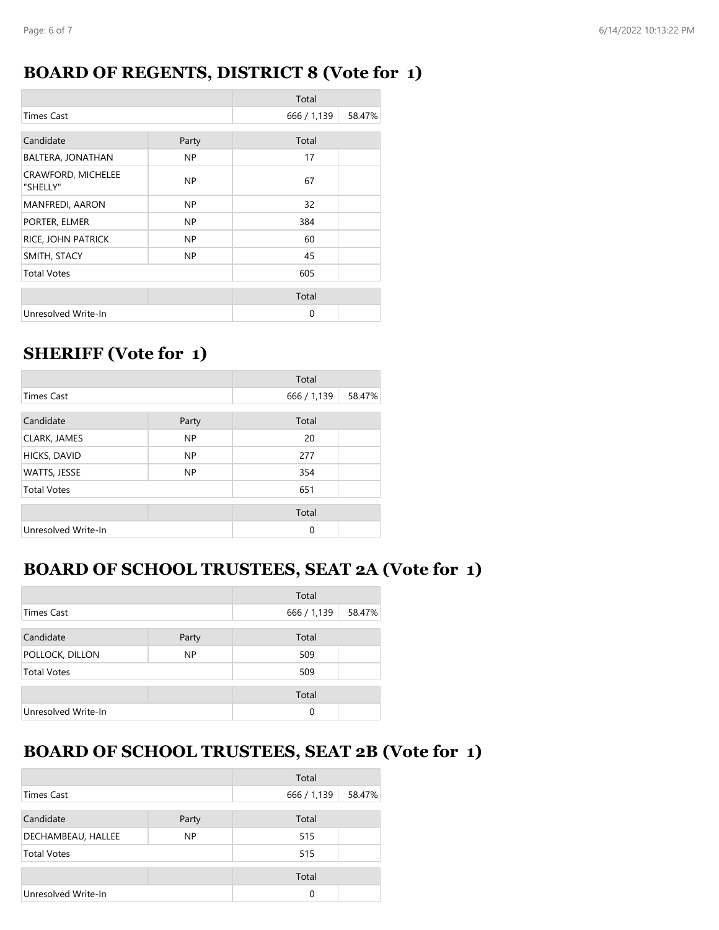### **BOARD OF REGENTS, DISTRICT 8 (Vote for 1)**

|                                       |       | Total       |        |
|---------------------------------------|-------|-------------|--------|
| <b>Times Cast</b>                     |       | 666 / 1,139 | 58.47% |
| Candidate                             | Party | Total       |        |
| BALTERA, JONATHAN                     | NP.   | 17          |        |
| <b>CRAWFORD, MICHELEE</b><br>"SHELLY" | NP.   | 67          |        |
| <b>MANFREDI, AARON</b>                | NP.   | 32          |        |
| PORTER, ELMER                         | NP.   | 384         |        |
| RICE, JOHN PATRICK                    | NP.   | 60          |        |
| SMITH, STACY                          | NP.   | 45          |        |
| <b>Total Votes</b>                    |       | 605         |        |
|                                       |       | Total       |        |
| Unresolved Write-In                   |       | $\Omega$    |        |

# **SHERIFF (Vote for 1)**

|                     |           | Total       |        |
|---------------------|-----------|-------------|--------|
| <b>Times Cast</b>   |           | 666 / 1,139 | 58.47% |
| Candidate           | Party     | Total       |        |
| <b>CLARK, JAMES</b> | <b>NP</b> | 20          |        |
| HICKS, DAVID        | <b>NP</b> | 277         |        |
| WATTS, JESSE        | NP        | 354         |        |
| <b>Total Votes</b>  |           | 651         |        |
|                     |           | Total       |        |
| Unresolved Write-In |           | $\Omega$    |        |

# **BOARD OF SCHOOL TRUSTEES, SEAT 2A (Vote for 1)**

|                     |           | Total       |        |
|---------------------|-----------|-------------|--------|
| <b>Times Cast</b>   |           | 666 / 1,139 | 58.47% |
| Candidate           | Party     | Total       |        |
| POLLOCK, DILLON     | <b>NP</b> | 509         |        |
| <b>Total Votes</b>  |           | 509         |        |
|                     |           | Total       |        |
| Unresolved Write-In |           | $\Omega$    |        |

# **BOARD OF SCHOOL TRUSTEES, SEAT 2B (Vote for 1)**

|                     |       | Total       |        |
|---------------------|-------|-------------|--------|
| <b>Times Cast</b>   |       | 666 / 1,139 | 58.47% |
| Candidate           | Party | Total       |        |
| DECHAMBEAU, HALLEE  | NP.   | 515         |        |
| <b>Total Votes</b>  |       | 515         |        |
|                     |       | Total       |        |
| Unresolved Write-In |       | 0           |        |